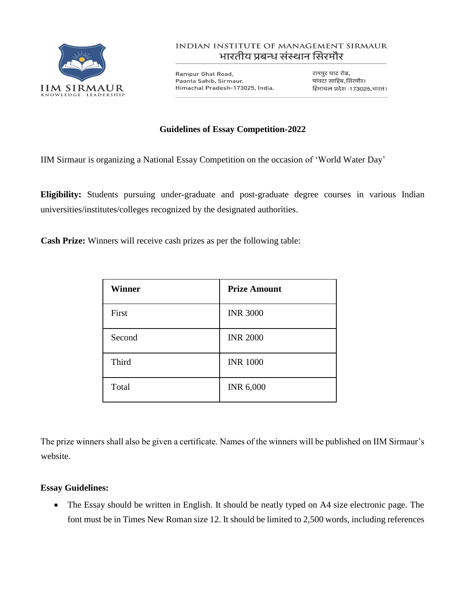

## **INDIAN INSTITUTE OF MANAGEMENT SIRMAUR** भारतीय प्रबन्ध संस्थान सिरमौर

Rampur Ghat Road, Paonta Sahib, Sirmaur. Himachal Pradesh-173025, India.

रामपुर घाट रोड, पांवटा साहिब, सिरमौर। हिमाचल प्रदेश - 173025,भारत।

## **Guidelines of Essay Competition-2022**

IIM Sirmaur is organizing a National Essay Competition on the occasion of 'World Water Day'

**Eligibility:** Students pursuing under-graduate and post-graduate degree courses in various Indian universities/institutes/colleges recognized by the designated authorities.

**Cash Prize:** Winners will receive cash prizes as per the following table:

| <b>Winner</b> | <b>Prize Amount</b> |
|---------------|---------------------|
| First         | <b>INR 3000</b>     |
| Second        | <b>INR 2000</b>     |
| Third         | <b>INR 1000</b>     |
| Total         | <b>INR 6,000</b>    |

The prize winners shall also be given a certificate. Names of the winners will be published on IIM Sirmaur's website.

## **Essay Guidelines:**

• The Essay should be written in English. It should be neatly typed on A4 size electronic page. The font must be in Times New Roman size 12. It should be limited to 2,500 words, including references